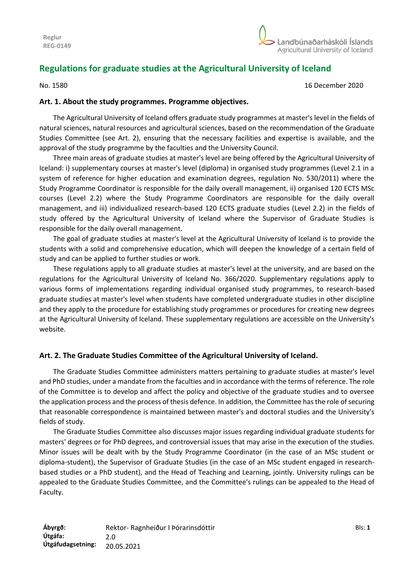# **Regulations for graduate studies at the Agricultural University of Iceland**

No. 1580 16 December 2020

## **Art. 1. About the study programmes. Programme objectives.**

The Agricultural University of Iceland offers graduate study programmes at master's level in the fields of natural sciences, natural resources and agricultural sciences, based on the recommendation of the Graduate Studies Committee (see Art. 2), ensuring that the necessary facilities and expertise is available, and the approval of the study programme by the faculties and the University Council.

Three main areas of graduate studies at master's level are being offered by the Agricultural University of Iceland: i) supplementary courses at master's level (diploma) in organised study programmes (Level 2.1 in a system of reference for higher education and examination degrees, regulation No. 530/2011) where the Study Programme Coordinator is responsible for the daily overall management, ii) organised 120 ECTS MSc courses (Level 2.2) where the Study Programme Coordinators are responsible for the daily overall management, and iii) individualized research-based 120 ECTS graduate studies (Level 2.2) in the fields of study offered by the Agricultural University of Iceland where the Supervisor of Graduate Studies is responsible for the daily overall management.

The goal of graduate studies at master's level at the Agricultural University of Iceland is to provide the students with a solid and comprehensive education, which will deepen the knowledge of a certain field of study and can be applied to further studies or work.

These regulations apply to all graduate studies at master's level at the university, and are based on the regulations for the Agricultural University of Iceland No. 366/2020. Supplementary regulations apply to various forms of implementations regarding individual organised study programmes, to research-based graduate studies at master's level when students have completed undergraduate studies in other discipline and they apply to the procedure for establishing study programmes or procedures for creating new degrees at the Agricultural University of Iceland. These supplementary regulations are accessible on the University's website.

# **Art. 2. The Graduate Studies Committee of the Agricultural University of Iceland.**

The Graduate Studies Committee administers matters pertaining to graduate studies at master's level and PhD studies, under a mandate from the faculties and in accordance with the terms of reference. The role of the Committee is to develop and affect the policy and objective of the graduate studies and to oversee the application process and the process of thesis defence. In addition, the Committee has the role of securing that reasonable correspondence is maintained between master's and doctoral studies and the University's fields of study.

The Graduate Studies Committee also discusses major issues regarding individual graduate students for masters' degrees or for PhD degrees, and controversial issues that may arise in the execution of the studies. Minor issues will be dealt with by the Study Programme Coordinator (in the case of an MSc student or diploma-student), the Supervisor of Graduate Studies (in the case of an MSc student engaged in researchbased studies or a PhD student), and the Head of Teaching and Learning, jointly. University rulings can be appealed to the Graduate Studies Committee, and the Committee's rulings can be appealed to the Head of Faculty.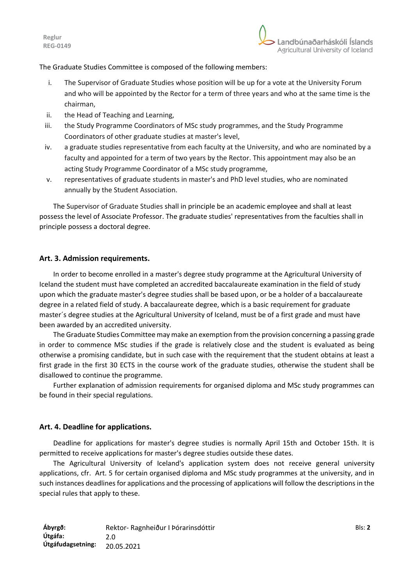The Graduate Studies Committee is composed of the following members:

- i. The Supervisor of Graduate Studies whose position will be up for a vote at the University Forum and who will be appointed by the Rector for a term of three years and who at the same time is the chairman,
- ii. the Head of Teaching and Learning,
- iii. the Study Programme Coordinators of MSc study programmes, and the Study Programme Coordinators of other graduate studies at master's level,
- iv. a graduate studies representative from each faculty at the University, and who are nominated by a faculty and appointed for a term of two years by the Rector. This appointment may also be an acting Study Programme Coordinator of a MSc study programme,
- v. representatives of graduate students in master's and PhD level studies, who are nominated annually by the Student Association.

The Supervisor of Graduate Studies shall in principle be an academic employee and shall at least possess the level of Associate Professor. The graduate studies' representatives from the faculties shall in principle possess a doctoral degree.

### **Art. 3. Admission requirements.**

In order to become enrolled in a master's degree study programme at the Agricultural University of Iceland the student must have completed an accredited baccalaureate examination in the field of study upon which the graduate master's degree studies shall be based upon, or be a holder of a baccalaureate degree in a related field of study. A baccalaureate degree, which is a basic requirement for graduate master´s degree studies at the Agricultural University of Iceland, must be of a first grade and must have been awarded by an accredited university.

The Graduate Studies Committee may make an exemption from the provision concerning a passing grade in order to commence MSc studies if the grade is relatively close and the student is evaluated as being otherwise a promising candidate, but in such case with the requirement that the student obtains at least a first grade in the first 30 ECTS in the course work of the graduate studies, otherwise the student shall be disallowed to continue the programme.

Further explanation of admission requirements for organised diploma and MSc study programmes can be found in their special regulations.

# **Art. 4. Deadline for applications.**

Deadline for applications for master's degree studies is normally April 15th and October 15th. It is permitted to receive applications for master's degree studies outside these dates.

The Agricultural University of Iceland's application system does not receive general university applications, cfr. Art. 5 for certain organised diploma and MSc study programmes at the university, and in such instances deadlines for applications and the processing of applications will follow the descriptions in the special rules that apply to these.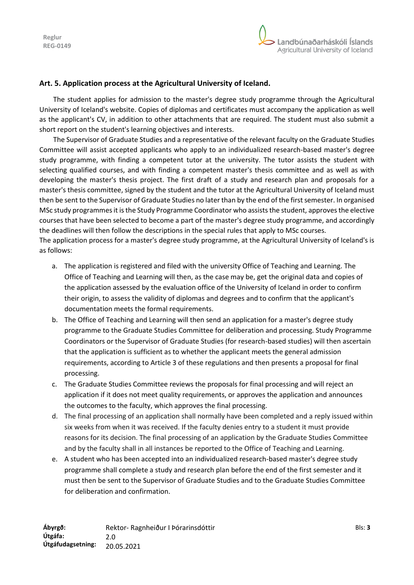

# **Art. 5. Application process at the Agricultural University of Iceland.**

The student applies for admission to the master's degree study programme through the Agricultural University of Iceland's website. Copies of diplomas and certificates must accompany the application as well as the applicant's CV, in addition to other attachments that are required. The student must also submit a short report on the student's learning objectives and interests.

The Supervisor of Graduate Studies and a representative of the relevant faculty on the Graduate Studies Committee will assist accepted applicants who apply to an individualized research-based master's degree study programme, with finding a competent tutor at the university. The tutor assists the student with selecting qualified courses, and with finding a competent master's thesis committee and as well as with developing the master's thesis project. The first draft of a study and research plan and proposals for a master's thesis committee, signed by the student and the tutor at the Agricultural University of Iceland must then be sent to the Supervisor of Graduate Studies no later than by the end of the first semester. In organised MSc study programmes it is the Study Programme Coordinator who assists the student, approves the elective courses that have been selected to become a part of the master's degree study programme, and accordingly the deadlines will then follow the descriptions in the special rules that apply to MSc courses. The application process for a master's degree study programme, at the Agricultural University of Iceland's is

as follows:

- a. The application is registered and filed with the university Office of Teaching and Learning. The Office of Teaching and Learning will then, as the case may be, get the original data and copies of the application assessed by the evaluation office of the University of Iceland in order to confirm their origin, to assess the validity of diplomas and degrees and to confirm that the applicant's documentation meets the formal requirements.
- b. The Office of Teaching and Learning will then send an application for a master's degree study programme to the Graduate Studies Committee for deliberation and processing. Study Programme Coordinators or the Supervisor of Graduate Studies (for research-based studies) will then ascertain that the application is sufficient as to whether the applicant meets the general admission requirements, according to Article 3 of these regulations and then presents a proposal for final processing.
- c. The Graduate Studies Committee reviews the proposals for final processing and will reject an application if it does not meet quality requirements, or approves the application and announces the outcomes to the faculty, which approves the final processing.
- d. The final processing of an application shall normally have been completed and a reply issued within six weeks from when it was received. If the faculty denies entry to a student it must provide reasons for its decision. The final processing of an application by the Graduate Studies Committee and by the faculty shall in all instances be reported to the Office of Teaching and Learning.
- e. A student who has been accepted into an individualized research-based master's degree study programme shall complete a study and research plan before the end of the first semester and it must then be sent to the Supervisor of Graduate Studies and to the Graduate Studies Committee for deliberation and confirmation.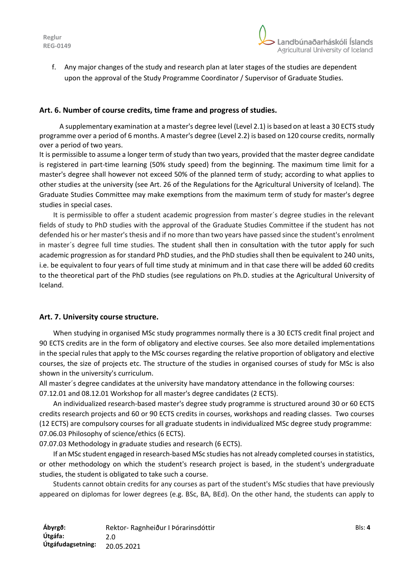

f. Any major changes of the study and research plan at later stages of the studies are dependent upon the approval of the Study Programme Coordinator / Supervisor of Graduate Studies.

### **Art. 6. Number of course credits, time frame and progress of studies.**

A supplementary examination at a master's degree level (Level 2.1) is based on at least a 30 ECTS study programme over a period of 6 months. A master's degree (Level 2.2) is based on 120 course credits, normally over a period of two years.

It is permissible to assume a longer term of study than two years, provided that the master degree candidate is registered in part-time learning (50% study speed) from the beginning. The maximum time limit for a master's degree shall however not exceed 50% of the planned term of study; according to what applies to other studies at the university (see Art. 26 of the Regulations for the Agricultural University of Iceland). The Graduate Studies Committee may make exemptions from the maximum term of study for master's degree studies in special cases.

It is permissible to offer a student academic progression from master´s degree studies in the relevant fields of study to PhD studies with the approval of the Graduate Studies Committee if the student has not defended his or her master's thesis and if no more than two years have passed since the student's enrolment in master´s degree full time studies. The student shall then in consultation with the tutor apply for such academic progression as for standard PhD studies, and the PhD studies shall then be equivalent to 240 units, i.e. be equivalent to four years of full time study at minimum and in that case there will be added 60 credits to the theoretical part of the PhD studies (see regulations on Ph.D. studies at the Agricultural University of Iceland.

### **Art. 7. University course structure.**

When studying in organised MSc study programmes normally there is a 30 ECTS credit final project and 90 ECTS credits are in the form of obligatory and elective courses. See also more detailed implementations in the special rules that apply to the MSc courses regarding the relative proportion of obligatory and elective courses, the size of projects etc. The structure of the studies in organised courses of study for MSc is also shown in the university's curriculum.

All master´s degree candidates at the university have mandatory attendance in the following courses: 07.12.01 and 08.12.01 Workshop for all master's degree candidates (2 ECTS).

An individualized research-based master's degree study programme is structured around 30 or 60 ECTS credits research projects and 60 or 90 ECTS credits in courses, workshops and reading classes. Two courses (12 ECTS) are compulsory courses for all graduate students in individualized MSc degree study programme: 07.06.03 Philosophy of science/ethics (6 ECTS).

07.07.03 Methodology in graduate studies and research (6 ECTS).

If an MSc student engaged in research-based MSc studies has not already completed courses in statistics, or other methodology on which the student's research project is based, in the student's undergraduate studies, the student is obligated to take such a course.

Students cannot obtain credits for any courses as part of the student's MSc studies that have previously appeared on diplomas for lower degrees (e.g. BSc, BA, BEd). On the other hand, the students can apply to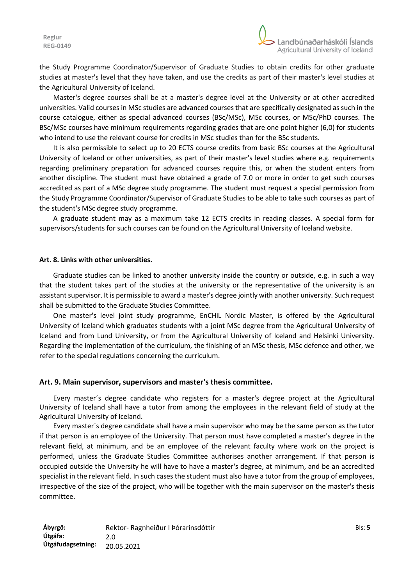the Study Programme Coordinator/Supervisor of Graduate Studies to obtain credits for other graduate studies at master's level that they have taken, and use the credits as part of their master's level studies at the Agricultural University of Iceland.

Master's degree courses shall be at a master's degree level at the University or at other accredited universities. Valid courses in MSc studies are advanced courses that are specifically designated as such in the course catalogue, either as special advanced courses (BSc/MSc), MSc courses, or MSc/PhD courses. The BSc/MSc courses have minimum requirements regarding grades that are one point higher (6,0) for students who intend to use the relevant course for credits in MSc studies than for the BSc students.

It is also permissible to select up to 20 ECTS course credits from basic BSc courses at the Agricultural University of Iceland or other universities, as part of their master's level studies where e.g. requirements regarding preliminary preparation for advanced courses require this, or when the student enters from another discipline. The student must have obtained a grade of 7.0 or more in order to get such courses accredited as part of a MSc degree study programme. The student must request a special permission from the Study Programme Coordinator/Supervisor of Graduate Studies to be able to take such courses as part of the student's MSc degree study programme.

A graduate student may as a maximum take 12 ECTS credits in reading classes. A special form for supervisors/students for such courses can be found on the Agricultural University of Iceland website.

#### **Art. 8. Links with other universities.**

Graduate studies can be linked to another university inside the country or outside, e.g. in such a way that the student takes part of the studies at the university or the representative of the university is an assistant supervisor. It is permissible to award a master's degree jointly with another university. Such request shall be submitted to the Graduate Studies Committee.

One master's level joint study programme, EnCHiL Nordic Master, is offered by the Agricultural University of Iceland which graduates students with a joint MSc degree from the Agricultural University of Iceland and from Lund University, or from the Agricultural University of Iceland and Helsinki University. Regarding the implementation of the curriculum, the finishing of an MSc thesis, MSc defence and other, we refer to the special regulations concerning the curriculum.

#### **Art. 9. Main supervisor, supervisors and master's thesis committee.**

Every master´s degree candidate who registers for a master's degree project at the Agricultural University of Iceland shall have a tutor from among the employees in the relevant field of study at the Agricultural University of Iceland.

Every master´s degree candidate shall have a main supervisor who may be the same person as the tutor if that person is an employee of the University. That person must have completed a master's degree in the relevant field, at minimum, and be an employee of the relevant faculty where work on the project is performed, unless the Graduate Studies Committee authorises another arrangement. If that person is occupied outside the University he will have to have a master's degree, at minimum, and be an accredited specialist in the relevant field. In such cases the student must also have a tutor from the group of employees, irrespective of the size of the project, who will be together with the main supervisor on the master's thesis committee.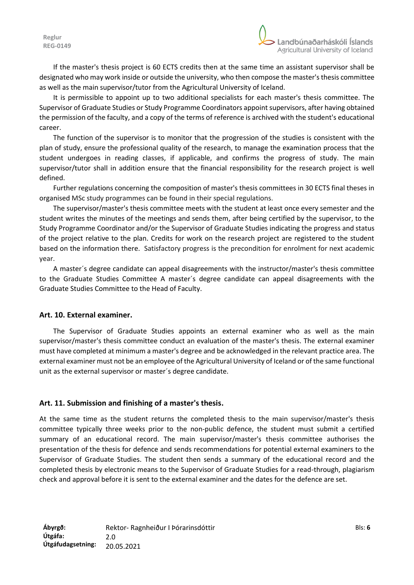If the master's thesis project is 60 ECTS credits then at the same time an assistant supervisor shall be designated who may work inside or outside the university, who then compose the master's thesis committee as well as the main supervisor/tutor from the Agricultural University of Iceland.

It is permissible to appoint up to two additional specialists for each master's thesis committee. The Supervisor of Graduate Studies or Study Programme Coordinators appoint supervisors, after having obtained the permission of the faculty, and a copy of the terms of reference is archived with the student's educational career.

The function of the supervisor is to monitor that the progression of the studies is consistent with the plan of study, ensure the professional quality of the research, to manage the examination process that the student undergoes in reading classes, if applicable, and confirms the progress of study. The main supervisor/tutor shall in addition ensure that the financial responsibility for the research project is well defined.

Further regulations concerning the composition of master's thesis committees in 30 ECTS final theses in organised MSc study programmes can be found in their special regulations.

The supervisor/master's thesis committee meets with the student at least once every semester and the student writes the minutes of the meetings and sends them, after being certified by the supervisor, to the Study Programme Coordinator and/or the Supervisor of Graduate Studies indicating the progress and status of the project relative to the plan. Credits for work on the research project are registered to the student based on the information there. Satisfactory progress is the precondition for enrolment for next academic year.

A master´s degree candidate can appeal disagreements with the instructor/master's thesis committee to the Graduate Studies Committee A master´s degree candidate can appeal disagreements with the Graduate Studies Committee to the Head of Faculty.

### **Art. 10. External examiner.**

The Supervisor of Graduate Studies appoints an external examiner who as well as the main supervisor/master's thesis committee conduct an evaluation of the master's thesis. The external examiner must have completed at minimum a master's degree and be acknowledged in the relevant practice area. The external examiner must not be an employee of the Agricultural University of Iceland or of the same functional unit as the external supervisor or master´s degree candidate.

# **Art. 11. Submission and finishing of a master's thesis.**

At the same time as the student returns the completed thesis to the main supervisor/master's thesis committee typically three weeks prior to the non-public defence, the student must submit a certified summary of an educational record. The main supervisor/master's thesis committee authorises the presentation of the thesis for defence and sends recommendations for potential external examiners to the Supervisor of Graduate Studies. The student then sends a summary of the educational record and the completed thesis by electronic means to the Supervisor of Graduate Studies for a read-through, plagiarism check and approval before it is sent to the external examiner and the dates for the defence are set.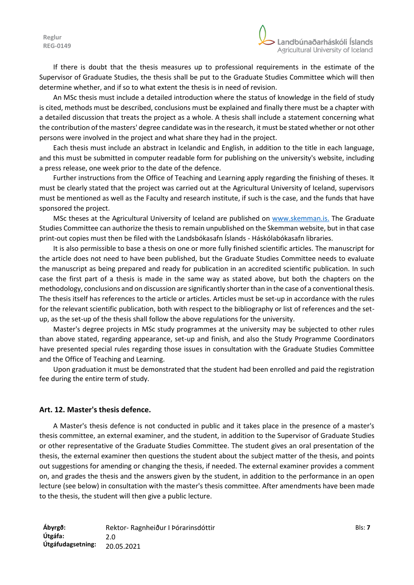If there is doubt that the thesis measures up to professional requirements in the estimate of the Supervisor of Graduate Studies, the thesis shall be put to the Graduate Studies Committee which will then determine whether, and if so to what extent the thesis is in need of revision.

An MSc thesis must include a detailed introduction where the status of knowledge in the field of study is cited, methods must be described, conclusions must be explained and finally there must be a chapter with a detailed discussion that treats the project as a whole. A thesis shall include a statement concerning what the contribution of the masters' degree candidate was in the research, it must be stated whether or not other persons were involved in the project and what share they had in the project.

Each thesis must include an abstract in Icelandic and English, in addition to the title in each language, and this must be submitted in computer readable form for publishing on the university's website, including a press release, one week prior to the date of the defence.

Further instructions from the Office of Teaching and Learning apply regarding the finishing of theses. It must be clearly stated that the project was carried out at the Agricultural University of Iceland, supervisors must be mentioned as well as the Faculty and research institute, if such is the case, and the funds that have sponsored the project.

MSc theses at the Agricultural University of Iceland are published on [www.skemman.is.](http://www.skemman.is/) The Graduate Studies Committee can authorize the thesis to remain unpublished on the Skemman website, but in that case print-out copies must then be filed with the Landsbókasafn Íslands - Háskólabókasafn libraries.

It is also permissible to base a thesis on one or more fully finished scientific articles. The manuscript for the article does not need to have been published, but the Graduate Studies Committee needs to evaluate the manuscript as being prepared and ready for publication in an accredited scientific publication. In such case the first part of a thesis is made in the same way as stated above, but both the chapters on the methodology, conclusions and on discussion are significantly shorter than in the case of a conventional thesis. The thesis itself has references to the article or articles. Articles must be set-up in accordance with the rules for the relevant scientific publication, both with respect to the bibliography or list of references and the setup, as the set-up of the thesis shall follow the above regulations for the university.

Master's degree projects in MSc study programmes at the university may be subjected to other rules than above stated, regarding appearance, set-up and finish, and also the Study Programme Coordinators have presented special rules regarding those issues in consultation with the Graduate Studies Committee and the Office of Teaching and Learning.

Upon graduation it must be demonstrated that the student had been enrolled and paid the registration fee during the entire term of study.

### **Art. 12. Master's thesis defence.**

A Master's thesis defence is not conducted in public and it takes place in the presence of a master's thesis committee, an external examiner, and the student, in addition to the Supervisor of Graduate Studies or other representative of the Graduate Studies Committee. The student gives an oral presentation of the thesis, the external examiner then questions the student about the subject matter of the thesis, and points out suggestions for amending or changing the thesis, if needed. The external examiner provides a comment on, and grades the thesis and the answers given by the student, in addition to the performance in an open lecture (see below) in consultation with the master's thesis committee. After amendments have been made to the thesis, the student will then give a public lecture.